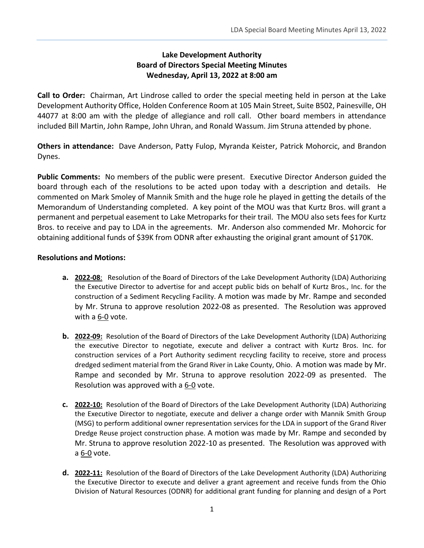## **Lake Development Authority Board of Directors Special Meeting Minutes Wednesday, April 13, 2022 at 8:00 am**

**Call to Order:** Chairman, Art Lindrose called to order the special meeting held in person at the Lake Development Authority Office, Holden Conference Room at 105 Main Street, Suite B502, Painesville, OH 44077 at 8:00 am with the pledge of allegiance and roll call. Other board members in attendance included Bill Martin, John Rampe, John Uhran, and Ronald Wassum. Jim Struna attended by phone.

**Others in attendance:** Dave Anderson, Patty Fulop, Myranda Keister, Patrick Mohorcic, and Brandon Dynes.

**Public Comments:** No members of the public were present. Executive Director Anderson guided the board through each of the resolutions to be acted upon today with a description and details. He commented on Mark Smoley of Mannik Smith and the huge role he played in getting the details of the Memorandum of Understanding completed. A key point of the MOU was that Kurtz Bros. will grant a permanent and perpetual easement to Lake Metroparks for their trail. The MOU also sets fees for Kurtz Bros. to receive and pay to LDA in the agreements. Mr. Anderson also commended Mr. Mohorcic for obtaining additional funds of \$39K from ODNR after exhausting the original grant amount of \$170K.

## **Resolutions and Motions:**

- **a. 2022-08**: Resolution of the Board of Directors of the Lake Development Authority (LDA) Authorizing the Executive Director to advertise for and accept public bids on behalf of Kurtz Bros., Inc. for the construction of a Sediment Recycling Facility. A motion was made by Mr. Rampe and seconded by Mr. Struna to approve resolution 2022-08 as presented. The Resolution was approved with a 6-0 vote.
- **b. 2022-09:** Resolution of the Board of Directors of the Lake Development Authority (LDA) Authorizing the executive Director to negotiate, execute and deliver a contract with Kurtz Bros. Inc. for construction services of a Port Authority sediment recycling facility to receive, store and process dredged sediment material from the Grand River in Lake County, Ohio.A motion was made by Mr. Rampe and seconded by Mr. Struna to approve resolution 2022-09 as presented. The Resolution was approved with a 6-0 vote.
- **c. 2022-10:** Resolution of the Board of Directors of the Lake Development Authority (LDA) Authorizing the Executive Director to negotiate, execute and deliver a change order with Mannik Smith Group (MSG) to perform additional owner representation services for the LDA in support of the Grand River Dredge Reuse project construction phase. A motion was made by Mr. Rampe and seconded by Mr. Struna to approve resolution 2022-10 as presented. The Resolution was approved with a 6-0 vote.
- **d. 2022-11:** Resolution of the Board of Directors of the Lake Development Authority (LDA) Authorizing the Executive Director to execute and deliver a grant agreement and receive funds from the Ohio Division of Natural Resources (ODNR) for additional grant funding for planning and design of a Port